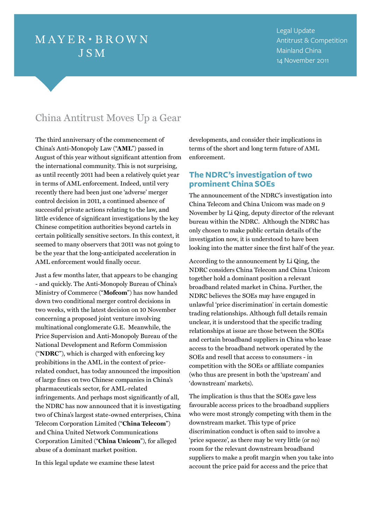# $MAYER \cdot BROWN$ **JSM**

Legal Update Antitrust & Competition Mainland China 14 November 2011

## China Antitrust Moves Up a Gear

The third anniversary of the commencement of China's Anti-Monopoly Law ("**AML**") passed in August of this year without significant attention from the international community. This is not surprising, as until recently 2011 had been a relatively quiet year in terms of AML enforcement. Indeed, until very recently there had been just one 'adverse' merger control decision in 2011, a continued absence of successful private actions relating to the law, and little evidence of significant investigations by the key Chinese competition authorities beyond cartels in certain politically sensitive sectors. In this context, it seemed to many observers that 2011 was not going to be the year that the long-anticipated acceleration in AML enforcement would finally occur.

Just a few months later, that appears to be changing - and quickly. The Anti-Monopoly Bureau of China's Ministry of Commerce ("**Mofcom**") has now handed down two conditional merger control decisions in two weeks, with the latest decision on 10 November concerning a proposed joint venture involving multinational conglomerate G.E. Meanwhile, the Price Supervision and Anti-Monopoly Bureau of the National Development and Reform Commission ("**NDRC**"), which is charged with enforcing key prohibitions in the AML in the context of pricerelated conduct, has today announced the imposition of large fines on two Chinese companies in China's pharmaceuticals sector, for AML-related infringements. And perhaps most significantly of all, the NDRC has now announced that it is investigating two of China's largest state-owned enterprises, China Telecom Corporation Limited ("**China Telecom**") and China United Network Communications Corporation Limited ("**China Unicom**"), for alleged abuse of a dominant market position.

In this legal update we examine these latest

developments, and consider their implications in terms of the short and long term future of AML enforcement.

## **The NDRC's investigation of two prominent China SOEs**

The announcement of the NDRC's investigation into China Telecom and China Unicom was made on 9 November by Li Qing, deputy director of the relevant bureau within the NDRC. Although the NDRC has only chosen to make public certain details of the investigation now, it is understood to have been looking into the matter since the first half of the year.

According to the announcement by Li Qing, the NDRC considers China Telecom and China Unicom together hold a dominant position a relevant broadband related market in China. Further, the NDRC believes the SOEs may have engaged in unlawful 'price discrimination' in certain domestic trading relationships. Although full details remain unclear, it is understood that the specific trading relationships at issue are those between the SOEs and certain broadband suppliers in China who lease access to the broadband network operated by the SOEs and resell that access to consumers - in competition with the SOEs or affiliate companies (who thus are present in both the 'upstream' and 'downstream' markets).

The implication is thus that the SOEs gave less favourable access prices to the broadband suppliers who were most strongly competing with them in the downstream market. This type of price discrimination conduct is often said to involve a 'price squeeze', as there may be very little (or no) room for the relevant downstream broadband suppliers to make a profit margin when you take into account the price paid for access and the price that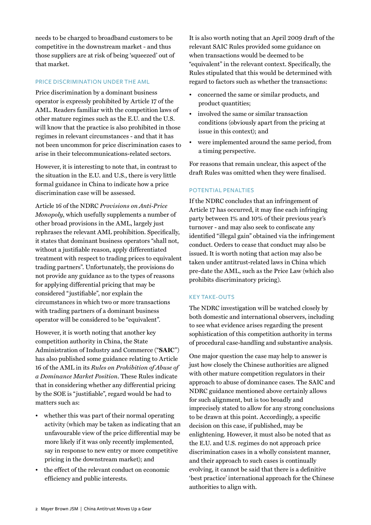needs to be charged to broadband customers to be competitive in the downstream market - and thus those suppliers are at risk of being 'squeezed' out of that market.

#### Price discrimination under the AML

Price discrimination by a dominant business operator is expressly prohibited by Article 17 of the AML. Readers familiar with the competition laws of other mature regimes such as the E.U. and the U.S. will know that the practice is also prohibited in those regimes in relevant circumstances - and that it has not been uncommon for price discrimination cases to arise in their telecommunications-related sectors.

However, it is interesting to note that, in contrast to the situation in the E.U. and U.S., there is very little formal guidance in China to indicate how a price discrimination case will be assessed.

Article 16 of the NDRC *Provisions on Anti-Price Monopoly*, which usefully supplements a number of other broad provisions in the AML, largely just rephrases the relevant AML prohibition. Specifically, it states that dominant business operators "shall not, without a justifiable reason, apply differentiated treatment with respect to trading prices to equivalent trading partners". Unfortunately, the provisions do not provide any guidance as to the types of reasons for applying differential pricing that may be considered "justifiable", nor explain the circumstances in which two or more transactions with trading partners of a dominant business operator will be considered to be "equivalent".

However, it is worth noting that another key competition authority in China, the State Administration of Industry and Commerce ("**SAIC**") has also published some guidance relating to Article 16 of the AML in its *Rules on Prohibition of Abuse of a Dominance Market Position*. These Rules indicate that in considering whether any differential pricing by the SOE is "justifiable", regard would be had to matters such as:

- whether this was part of their normal operating activity (which may be taken as indicating that an unfavourable view of the price differential may be more likely if it was only recently implemented, say in response to new entry or more competitive pricing in the downstream market); and
- the effect of the relevant conduct on economic efficiency and public interests.

It is also worth noting that an April 2009 draft of the relevant SAIC Rules provided some guidance on when transactions would be deemed to be "equivalent" in the relevant context. Specifically, the Rules stipulated that this would be determined with regard to factors such as whether the transactions:

- concerned the same or similar products, and product quantities;
- involved the same or similar transaction conditions (obviously apart from the pricing at issue in this context); and
- were implemented around the same period, from a timing perspective.

For reasons that remain unclear, this aspect of the draft Rules was omitted when they were finalised.

#### Potential penalties

If the NDRC concludes that an infringement of Article 17 has occurred, it may fine each infringing party between 1% and 10% of their previous year's turnover - and may also seek to confiscate any identified "illegal gain" obtained via the infringement conduct. Orders to cease that conduct may also be issued. It is worth noting that action may also be taken under antitrust-related laws in China which pre-date the AML, such as the Price Law (which also prohibits discriminatory pricing).

#### **KEY TAKE-OUTS**

The NDRC investigation will be watched closely by both domestic and international observers, including to see what evidence arises regarding the present sophistication of this competition authority in terms of procedural case-handling and substantive analysis.

One major question the case may help to answer is just how closely the Chinese authorities are aligned with other mature competition regulators in their approach to abuse of dominance cases. The SAIC and NDRC guidance mentioned above certainly allows for such alignment, but is too broadly and imprecisely stated to allow for any strong conclusions to be drawn at this point. Accordingly, a specific decision on this case, if published, may be enlightening. However, it must also be noted that as the E.U. and U.S. regimes do not approach price discrimination cases in a wholly consistent manner, and their approach to such cases is continually evolving, it cannot be said that there is a definitive 'best practice' international approach for the Chinese authorities to align with.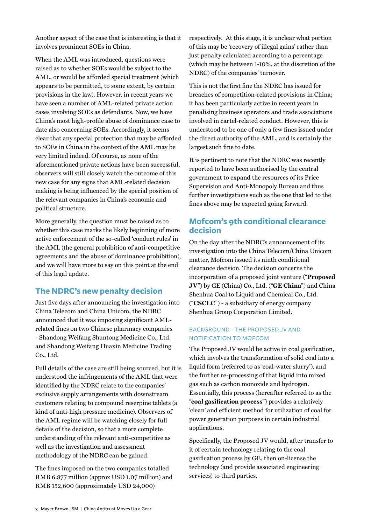Another aspect of the case that is interesting is that it involves prominent SOEs in China.

When the AML was introduced, questions were raised as to whether SOEs would be subject to the AML, or would be afforded special treatment (which appears to be permitted, to some extent, by certain provisions in the law). However, in recent years we have seen a number of AML-related private action cases involving SOEs as defendants. Now, we have China's most high-profile abuse of dominance case to date also concerning SOEs. Accordingly, it seems clear that any special protection that may be afforded to SOEs in China in the context of the AML may be very limited indeed. Of course, as none of the aforementioned private actions have been successful, observers will still closely watch the outcome of this new case for any signs that AML-related decision making is being influenced by the special position of the relevant companies in China's economic and political structure.

More generally, the question must be raised as to whether this case marks the likely beginning of more active enforcement of the so-called 'conduct rules' in the AML (the general prohibition of anti-competitive agreements and the abuse of dominance prohibition), and we will have more to say on this point at the end of this legal update.

## **The NDRC's new penalty decision**

Just five days after announcing the investigation into China Telecom and China Unicom, the NDRC announced that it was imposing significant AMLrelated fines on two Chinese pharmacy companies - Shandong Weifang Shuntong Medicine Co., Ltd. and Shandong Weifang Huaxin Medicine Trading Co., Ltd.

Full details of the case are still being sourced, but it is understood the infringements of the AML that were identified by the NDRC relate to the companies' exclusive supply arrangements with downstream customers relating to compound reserpine tablets (a kind of anti-high pressure medicine). Observers of the AML regime will be watching closely for full details of the decision, so that a more complete understanding of the relevant anti-competitive as well as the investigation and assessment methodology of the NDRC can be gained.

The fines imposed on the two companies totalled RMB 6.877 million (approx USD 1.07 million) and RMB 152,600 (approximately USD 24,000)

respectively. At this stage, it is unclear what portion of this may be 'recovery of illegal gains' rather than just penalty calculated according to a percentage (which may be between 1-10%, at the discretion of the NDRC) of the companies' turnover.

This is not the first fine the NDRC has issued for breaches of competition-related provisions in China; it has been particularly active in recent years in penalising business operators and trade associations involved in cartel-related conduct. However, this is understood to be one of only a few fines issued under the direct authority of the AML, and is certainly the largest such fine to date.

It is pertinent to note that the NDRC was recently reported to have been authorised by the central government to expand the resources of its Price Supervision and Anti-Monopoly Bureau and thus further investigations such as the one that led to the fines above may be expected going forward.

## **Mofcom's 9th conditional clearance decision**

On the day after the NDRC's announcement of its investigation into the China Telecom/China Unicom matter, Mofcom issued its ninth conditional clearance decision. The decision concerns the incorporation of a proposed joint venture ("**Proposed JV**") by GE (China) Co., Ltd. ("**GE China**") and China Shenhua Coal to Liquid and Chemical Co., Ltd. ("**CSCLC**") - a subsidiary of energy company Shenhua Group Corporation Limited.

## Background - The Proposed JV and notification to Mofcom

The Proposed JV would be active in coal gasification, which involves the transformation of solid coal into a liquid form (referred to as 'coal-water slurry'), and the further re-processing of that liquid into mixed gas such as carbon monoxide and hydrogen. Essentially, this process (hereafter referred to as the "**coal gasification process**") provides a relatively 'clean' and efficient method for utilization of coal for power generation purposes in certain industrial applications.

Specifically, the Proposed JV would, after transfer to it of certain technology relating to the coal gasification process by GE, then on-license the technology (and provide associated engineering services) to third parties.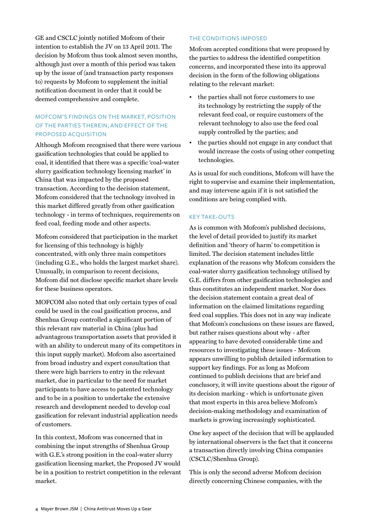GE and CSCLC jointly notified Mofcom of their intention to establish the JV on 13 April 2011. The decision by Mofcom thus took almost seven months, although just over a month of this period was taken up by the issue of (and transaction party responses to) requests by Mofcom to supplement the initial notification document in order that it could be deemed comprehensive and complete.

## Mofcom's findings on the market, position of the parties therein, and effect of the proposed acquisition

Although Mofcom recognised that there were various gasification technologies that could be applied to coal, it identified that there was a specific 'coal-water slurry gasification technology licensing market' in China that was impacted by the proposed transaction. According to the decision statement, Mofcom considered that the technology involved in this market differed greatly from other gasification technology - in terms of techniques, requirements on feed coal, feeding mode and other aspects.

Mofcom considered that participation in the market for licensing of this technology is highly concentrated, with only three main competitors (including G.E., who holds the largest market share). Unusually, in comparison to recent decisions, Mofcom did not disclose specific market share levels for these business operators.

MOFCOM also noted that only certain types of coal could be used in the coal gasification process, and Shenhua Group controlled a significant portion of this relevant raw material in China (plus had advantageous transportation assets that provided it with an ability to undercut many of its competitors in this input supply market). Mofcom also ascertained from broad industry and expert consultation that there were high barriers to entry in the relevant market, due in particular to the need for market participants to have access to patented technology and to be in a position to undertake the extensive research and development needed to develop coal gasification for relevant industrial application needs of customers.

In this context, Mofcom was concerned that in combining the input strengths of Shenhua Group with G.E.'s strong position in the coal-water slurry gasification licensing market, the Proposed JV would be in a position to restrict competition in the relevant market.

## The conditions imposed

Mofcom accepted conditions that were proposed by the parties to address the identified competition concerns, and incorporated these into its approval decision in the form of the following obligations relating to the relevant market:

- the parties shall not force customers to use its technology by restricting the supply of the relevant feed coal, or require customers of the relevant technology to also use the feed coal supply controlled by the parties; and
- the parties should not engage in any conduct that would increase the costs of using other competing technologies.

As is usual for such conditions, Mofcom will have the right to supervise and examine their implementation, and may intervene again if it is not satisfied the conditions are being complied with.

#### **KEY TAKE-OUTS**

As is common with Mofcom's published decisions, the level of detail provided to justify its market definition and 'theory of harm' to competition is limited. The decision statement includes little explanation of the reasons why Mofcom considers the coal-water slurry gasification technology utilised by G.E. differs from other gasification technologies and thus constitutes an independent market. Nor does the decision statement contain a great deal of information on the claimed limitations regarding feed coal supplies. This does not in any way indicate that Mofcom's conclusions on these issues are flawed, but rather raises questions about why - after appearing to have devoted considerable time and resources to investigating these issues - Mofcom appears unwilling to publish detailed information to support key findings. For as long as Mofcom continued to publish decisions that are brief and conclusory, it will invite questions about the rigour of its decision marking - which is unfortunate given that most experts in this area believe Mofcom's decision-making methodology and examination of markets is growing increasingly sophisticated.

One key aspect of the decision that will be applauded by international observers is the fact that it concerns a transaction directly involving China companies (CSCLC/Shenhua Group).

This is only the second adverse Mofcom decision directly concerning Chinese companies, with the